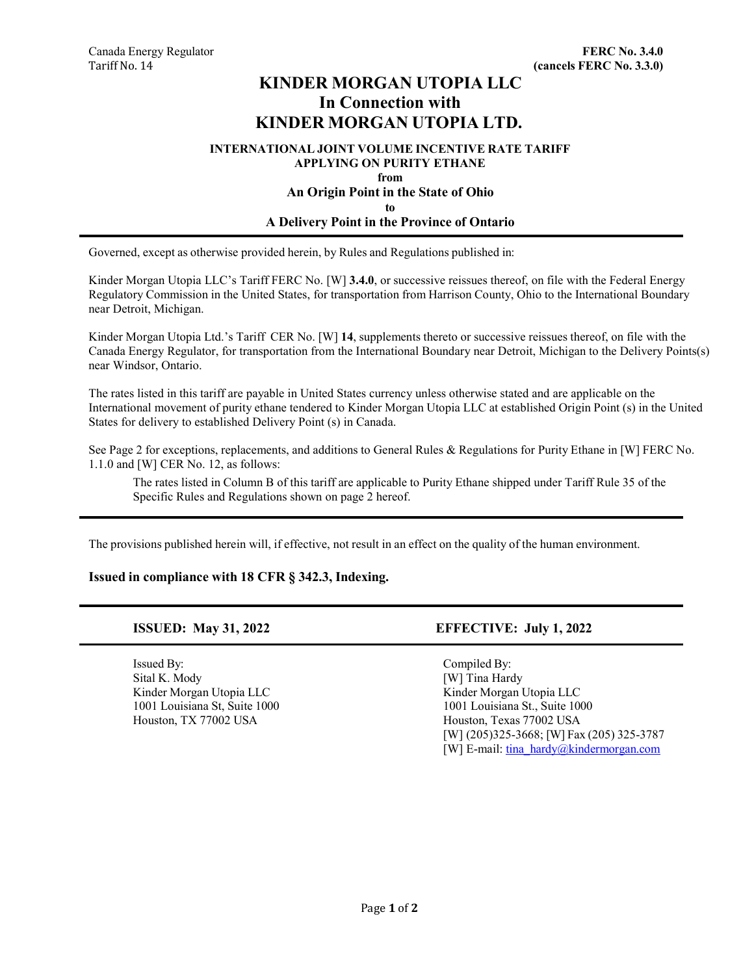# **KINDER MORGAN UTOPIA LLC In Connection with KINDER MORGAN UTOPIA LTD.**

### **INTERNATIONAL JOINT VOLUME INCENTIVE RATE TARIFF APPLYING ON PURITY ETHANE**

### **from An Origin Point in the State of Ohio**

**to**

### **A Delivery Point in the Province of Ontario**

Governed, except as otherwise provided herein, by Rules and Regulations published in:

Kinder Morgan Utopia LLC's Tariff FERC No. [W] **3.4.0**, or successive reissues thereof, on file with the Federal Energy Regulatory Commission in the United States, for transportation from Harrison County, Ohio to the International Boundary near Detroit, Michigan.

Kinder Morgan Utopia Ltd.'s Tariff CER No. [W] **14**, supplements thereto or successive reissues thereof, on file with the Canada Energy Regulator, for transportation from the International Boundary near Detroit, Michigan to the Delivery Points(s) near Windsor, Ontario.

The rates listed in this tariff are payable in United States currency unless otherwise stated and are applicable on the International movement of purity ethane tendered to Kinder Morgan Utopia LLC at established Origin Point (s) in the United States for delivery to established Delivery Point (s) in Canada.

See Page 2 for exceptions, replacements, and additions to General Rules & Regulations for Purity Ethane in [W] FERC No. 1.1.0 and [W] CER No. 12, as follows:

The rates listed in Column B of this tariff are applicable to Purity Ethane shipped under Tariff Rule 35 of the Specific Rules and Regulations shown on page 2 hereof.

The provisions published herein will, if effective, not result in an effect on the quality of the human environment.

### **Issued in compliance with 18 CFR § 342.3, Indexing.**

Issued By: Compiled By: Sital K. Mody [W] Tina Hardy Kinder Morgan Utopia LLC<br>1001 Louisiana St, Suite 1000<br>1001 Louisiana St, Suite 1000 Houston, TX 77002 USA Houston, Texas 77002 USA

### **ISSUED: May 31, 2022 EFFECTIVE: July 1, 2022**

1001 Louisiana St., Suite 1000 [W] (205)325-3668; [W] Fax (205) 325-3787 [W] E-mail: [tina\\_hardy@kindermorgan.com](mailto:Tariff_Group@kindermorgan.com)